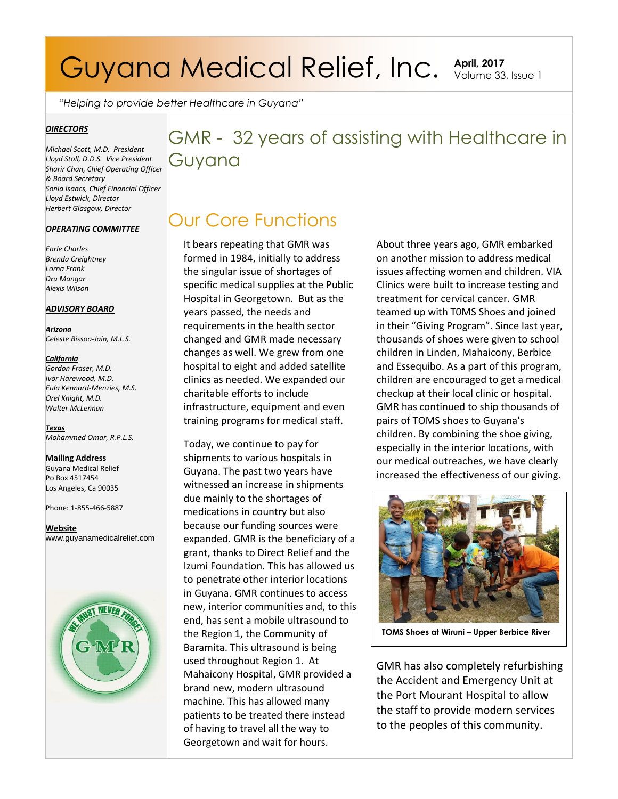# Guyana Medical Relief, Inc. April, 2017

Volume 33, Issue 1

*"Helping to provide better Healthcare in Guyana"*

#### *DIRECTORS*

*Michael Scott, M.D. President Lloyd Stoll, D.D.S. Vice President Sharir Chan, Chief Operating Officer & Board Secretary Sonia Isaacs, Chief Financial Officer Lloyd Estwick, Director Herbert Glasgow, Director*

#### *OPERATING COMMITTEE*

*Earle Charles Brenda Creightney Lorna Frank Dru Mangar Alexis Wilson* 

#### *ADVISORY BOARD*

*Arizona Celeste Bissoo-Jain, M.L.S.*

#### *California*

*Gordon Fraser, M.D. Ivor Harewood, M.D. Eula Kennard-Menzies, M.S. Orel Knight, M.D. Walter McLennan*

*Texas Mohammed Omar, R.P.L.S.* 

#### **Mailing Address**

Guyana Medical Relief Po Box 4517454 Los Angeles, Ca 90035

Phone: 1-855-466-5887

**Website** www.guyanamedicalrelief.com



### GMR - 32 years of assisting with Healthcare in Guyana

### Our Core Functions

It bears repeating that GMR was formed in 1984, initially to address the singular issue of shortages of specific medical supplies at the Public Hospital in Georgetown. But as the years passed, the needs and requirements in the health sector changed and GMR made necessary changes as well. We grew from one hospital to eight and added satellite clinics as needed. We expanded our charitable efforts to include infrastructure, equipment and even training programs for medical staff.

Today, we continue to pay for shipments to various hospitals in Guyana. The past two years have witnessed an increase in shipments due mainly to the shortages of medications in country but also because our funding sources were expanded. GMR is the beneficiary of a grant, thanks to Direct Relief and the Izumi Foundation. This has allowed us to penetrate other interior locations in Guyana. GMR continues to access new, interior communities and, to this end, has sent a mobile ultrasound to the Region 1, the Community of Baramita. This ultrasound is being used throughout Region 1. At Mahaicony Hospital, GMR provided a brand new, modern ultrasound machine. This has allowed many patients to be treated there instead of having to travel all the way to Georgetown and wait for hours.

About three years ago, GMR embarked on another mission to address medical issues affecting women and children. VIA Clinics were built to increase testing and treatment for cervical cancer. GMR teamed up with T0MS Shoes and joined in their "Giving Program". Since last year, thousands of shoes were given to school children in Linden, Mahaicony, Berbice and Essequibo. As a part of this program, children are encouraged to get a medical checkup at their local clinic or hospital. GMR has continued to ship thousands of pairs of TOMS shoes to Guyana's children. By combining the shoe giving, especially in the interior locations, with our medical outreaches, we have clearly increased the effectiveness of our giving.



**TOMS** Shoes at Wiruni - Upper Berbice River

GMR has also completely refurbishing the Accident and Emergency Unit at the Port Mourant Hospital to allow the staff to provide modern services to the peoples of this community.